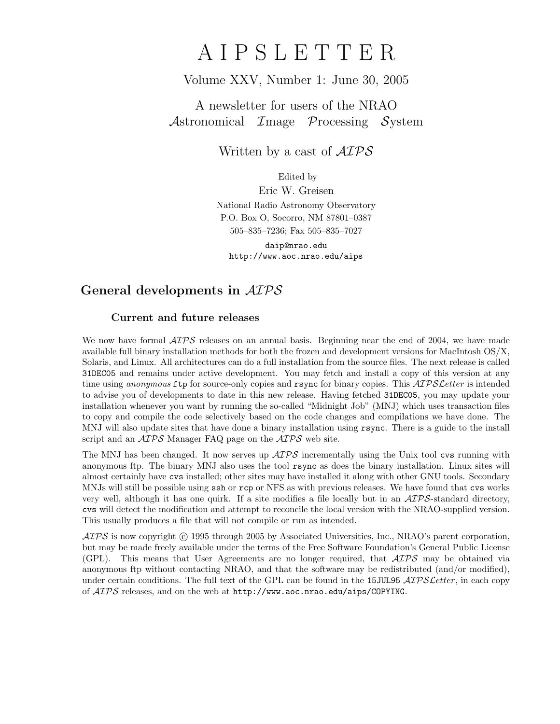## A I P S L E T T E R

## Volume XXV, Number 1: June 30, 2005

## A newsletter for users of the NRAO Astronomical Image Processing System

Written by a cast of  $\mathcal{AIPS}$ 

Edited by

Eric W. Greisen National Radio Astronomy Observatory P.O. Box O, Socorro, NM 87801–0387 505–835–7236; Fax 505–835–7027

daip@nrao.edu http://www.aoc.nrao.edu/aips

## General developments in AIPS

### Current and future releases

We now have formal  $\mathcal{AIPS}$  releases on an annual basis. Beginning near the end of 2004, we have made available full binary installation methods for both the frozen and development versions for MacIntosh OS/X, Solaris, and Linux. All architectures can do a full installation from the source files. The next release is called 31DEC05 and remains under active development. You may fetch and install a copy of this version at any time using anonymous ftp for source-only copies and rsync for binary copies. This  $\mathcal{ATPS}$  Letter is intended to advise you of developments to date in this new release. Having fetched 31DEC05, you may update your installation whenever you want by running the so-called "Midnight Job" (MNJ) which uses transaction files to copy and compile the code selectively based on the code changes and compilations we have done. The MNJ will also update sites that have done a binary installation using rsync. There is a guide to the install script and an  $\mathcal{A} \mathcal{I} \mathcal{P} \mathcal{S}$  Manager FAQ page on the  $\mathcal{A} \mathcal{I} \mathcal{P} \mathcal{S}$  web site.

The MNJ has been changed. It now serves up  $\mathcal{AIPS}$  incrementally using the Unix tool cvs running with anonymous ftp. The binary MNJ also uses the tool rsync as does the binary installation. Linux sites will almost certainly have cvs installed; other sites may have installed it along with other GNU tools. Secondary MNJs will still be possible using ssh or rcp or NFS as with previous releases. We have found that cvs works very well, although it has one quirk. If a site modifies a file locally but in an  $\mathcal{ATPS}$ -standard directory, cvs will detect the modification and attempt to reconcile the local version with the NRAO-supplied version. This usually produces a file that will not compile or run as intended.

 $ATPS$  is now copyright  $\odot$  1995 through 2005 by Associated Universities, Inc., NRAO's parent corporation, but may be made freely available under the terms of the Free Software Foundation's General Public License (GPL). This means that User Agreements are no longer required, that  $\mathcal{AIPS}$  may be obtained via anonymous ftp without contacting NRAO, and that the software may be redistributed (and/or modified), under certain conditions. The full text of the GPL can be found in the 15JUL95  $\mathcal{ATPS}$  Letter, in each copy of  $\widehat{AIPS}$  releases, and on the web at http://www.aoc.nrao.edu/aips/COPYING.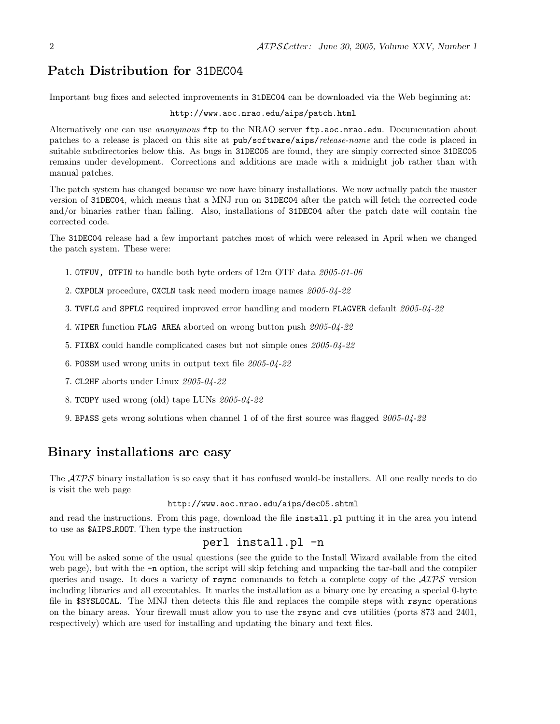## Patch Distribution for 31DEC04

Important bug fixes and selected improvements in 31DEC04 can be downloaded via the Web beginning at:

#### http://www.aoc.nrao.edu/aips/patch.html

Alternatively one can use *anonymous* ftp to the NRAO server ftp.aoc.nrao.edu. Documentation about patches to a release is placed on this site at pub/software/aips/release-name and the code is placed in suitable subdirectories below this. As bugs in 31DEC05 are found, they are simply corrected since 31DEC05 remains under development. Corrections and additions are made with a midnight job rather than with manual patches.

The patch system has changed because we now have binary installations. We now actually patch the master version of 31DEC04, which means that a MNJ run on 31DEC04 after the patch will fetch the corrected code and/or binaries rather than failing. Also, installations of 31DEC04 after the patch date will contain the corrected code.

The 31DEC04 release had a few important patches most of which were released in April when we changed the patch system. These were:

- 1. OTFUV, OTFIN to handle both byte orders of 12m OTF data 2005-01-06
- 2. CXPOLN procedure, CXCLN task need modern image names 2005-04-22
- 3. TVFLG and SPFLG required improved error handling and modern FLAGVER default 2005-04-22
- 4. WIPER function FLAG AREA aborted on wrong button push 2005-04-22
- 5. FIXBX could handle complicated cases but not simple ones 2005-04-22
- 6. POSSM used wrong units in output text file 2005-04-22
- 7. CL2HF aborts under Linux 2005-04-22
- 8. TCOPY used wrong (old) tape LUNs 2005-04-22
- 9. BPASS gets wrong solutions when channel 1 of of the first source was flagged 2005-04-22

## Binary installations are easy

The  $ATPS$  binary installation is so easy that it has confused would-be installers. All one really needs to do is visit the web page

#### http://www.aoc.nrao.edu/aips/dec05.shtml

and read the instructions. From this page, download the file install.pl putting it in the area you intend to use as \$AIPS ROOT. Then type the instruction

## perl install.pl -n

You will be asked some of the usual questions (see the guide to the Install Wizard available from the cited web page), but with the -n option, the script will skip fetching and unpacking the tar-ball and the compiler queries and usage. It does a variety of rsync commands to fetch a complete copy of the  $\mathcal{ATPS}$  version including libraries and all executables. It marks the installation as a binary one by creating a special 0-byte file in \$SYSLOCAL. The MNJ then detects this file and replaces the compile steps with rsync operations on the binary areas. Your firewall must allow you to use the rsync and cvs utilities (ports 873 and 2401, respectively) which are used for installing and updating the binary and text files.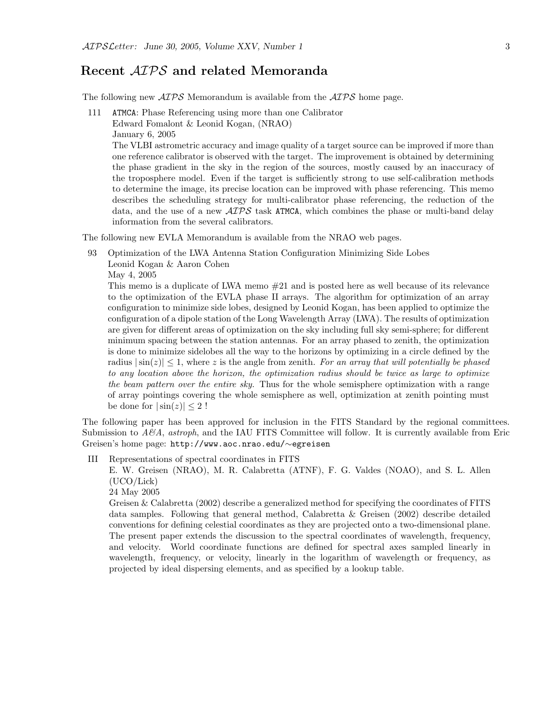## Recent AIPS and related Memoranda

The following new  $\mathcal{AIPS}$  Memorandum is available from the  $\mathcal{AIPS}$  home page.

111 ATMCA: Phase Referencing using more than one Calibrator Edward Fomalont & Leonid Kogan, (NRAO)

January 6, 2005

The VLBI astrometric accuracy and image quality of a target source can be improved if more than one reference calibrator is observed with the target. The improvement is obtained by determining the phase gradient in the sky in the region of the sources, mostly caused by an inaccuracy of the troposphere model. Even if the target is sufficiently strong to use self-calibration methods to determine the image, its precise location can be improved with phase referencing. This memo describes the scheduling strategy for multi-calibrator phase referencing, the reduction of the data, and the use of a new  $\mathcal{AIPS}$  task ATMCA, which combines the phase or multi-band delay information from the several calibrators.

The following new EVLA Memorandum is available from the NRAO web pages.

93 Optimization of the LWA Antenna Station Configuration Minimizing Side Lobes

Leonid Kogan & Aaron Cohen

May 4, 2005

This memo is a duplicate of LWA memo #21 and is posted here as well because of its relevance to the optimization of the EVLA phase II arrays. The algorithm for optimization of an array configuration to minimize side lobes, designed by Leonid Kogan, has been applied to optimize the configuration of a dipole station of the Long Wavelength Array (LWA). The results of optimization are given for different areas of optimization on the sky including full sky semi-sphere; for different minimum spacing between the station antennas. For an array phased to zenith, the optimization is done to minimize sidelobes all the way to the horizons by optimizing in a circle defined by the radius  $|\sin(z)| \leq 1$ , where z is the angle from zenith. For an array that will potentially be phased to any location above the horizon, the optimization radius should be twice as large to optimize the beam pattern over the entire sky. Thus for the whole semisphere optimization with a range of array pointings covering the whole semisphere as well, optimization at zenith pointing must be done for  $|\sin(z)| \leq 2!$ 

The following paper has been approved for inclusion in the FITS Standard by the regional committees. Submission to  $A\mathcal{B}A$ , astroph, and the IAU FITS Committee will follow. It is currently available from Eric Greisen's home page: http://www.aoc.nrao.edu/∼egreisen

III Representations of spectral coordinates in FITS

E. W. Greisen (NRAO), M. R. Calabretta (ATNF), F. G. Valdes (NOAO), and S. L. Allen (UCO/Lick)

24 May 2005

Greisen & Calabretta (2002) describe a generalized method for specifying the coordinates of FITS data samples. Following that general method, Calabretta & Greisen (2002) describe detailed conventions for defining celestial coordinates as they are projected onto a two-dimensional plane. The present paper extends the discussion to the spectral coordinates of wavelength, frequency, and velocity. World coordinate functions are defined for spectral axes sampled linearly in wavelength, frequency, or velocity, linearly in the logarithm of wavelength or frequency, as projected by ideal dispersing elements, and as specified by a lookup table.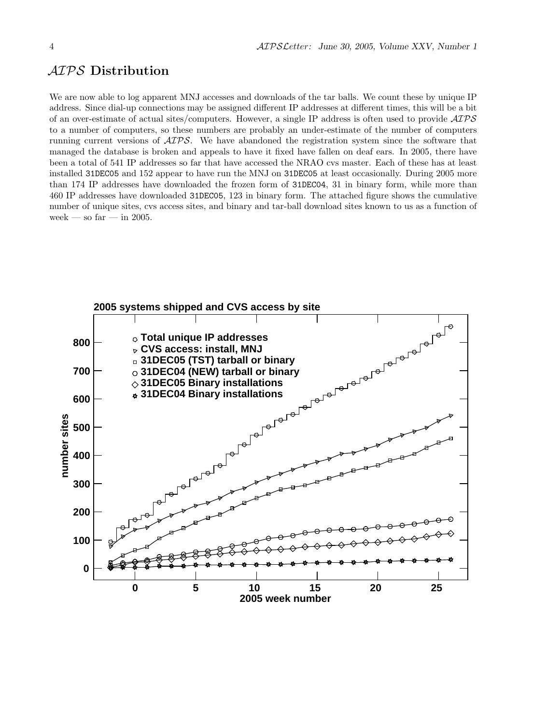## AIPS Distribution

We are now able to log apparent MNJ accesses and downloads of the tar balls. We count these by unique IP address. Since dial-up connections may be assigned different IP addresses at different times, this will be a bit of an over-estimate of actual sites/computers. However, a single IP address is often used to provide AIPS to a number of computers, so these numbers are probably an under-estimate of the number of computers running current versions of AIPS. We have abandoned the registration system since the software that managed the database is broken and appeals to have it fixed have fallen on deaf ears. In 2005, there have been a total of 541 IP addresses so far that have accessed the NRAO cvs master. Each of these has at least installed 31DEC05 and 152 appear to have run the MNJ on 31DEC05 at least occasionally. During 2005 more than 174 IP addresses have downloaded the frozen form of 31DEC04, 31 in binary form, while more than 460 IP addresses have downloaded 31DEC05, 123 in binary form. The attached figure shows the cumulative number of unique sites, cvs access sites, and binary and tar-ball download sites known to us as a function of week — so far — in 2005.

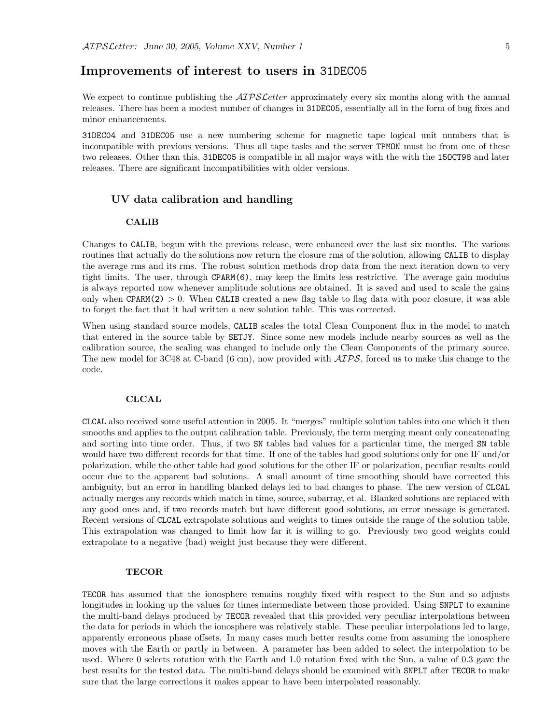### Improvements of interest to users in 31DEC05

We expect to continue publishing the  $\mathcal{AIPS}$  cetter approximately every six months along with the annual releases. There has been a modest number of changes in 31DEC05, essentially all in the form of bug fixes and minor enhancements.

31DEC04 and 31DEC05 use a new numbering scheme for magnetic tape logical unit numbers that is incompatible with previous versions. Thus all tape tasks and the server TPMON must be from one of these two releases. Other than this, 31DEC05 is compatible in all major ways with the with the 15OCT98 and later releases. There are significant incompatibilities with older versions.

#### UV data calibration and handling

#### CALIB

Changes to CALIB, begun with the previous release, were enhanced over the last six months. The various routines that actually do the solutions now return the closure rms of the solution, allowing CALIB to display the average rms and its rms. The robust solution methods drop data from the next iteration down to very tight limits. The user, through CPARM(6), may keep the limits less restrictive. The average gain modulus is always reported now whenever amplitude solutions are obtained. It is saved and used to scale the gains only when  $CPARM(2) > 0$ . When CALIB created a new flag table to flag data with poor closure, it was able to forget the fact that it had written a new solution table. This was corrected.

When using standard source models, CALIB scales the total Clean Component flux in the model to match that entered in the source table by SETJY. Since some new models include nearby sources as well as the calibration source, the scaling was changed to include only the Clean Components of the primary source. The new model for 3C48 at C-band (6 cm), now provided with  $\mathcal{AIPS}$ , forced us to make this change to the code.

#### **CLCAL**

CLCAL also received some useful attention in 2005. It "merges" multiple solution tables into one which it then smooths and applies to the output calibration table. Previously, the term merging meant only concatenating and sorting into time order. Thus, if two SN tables had values for a particular time, the merged SN table would have two different records for that time. If one of the tables had good solutions only for one IF and/or polarization, while the other table had good solutions for the other IF or polarization, peculiar results could occur due to the apparent bad solutions. A small amount of time smoothing should have corrected this ambiguity, but an error in handling blanked delays led to bad changes to phase. The new version of CLCAL actually merges any records which match in time, source, subarray, et al. Blanked solutions are replaced with any good ones and, if two records match but have different good solutions, an error message is generated. Recent versions of CLCAL extrapolate solutions and weights to times outside the range of the solution table. This extrapolation was changed to limit how far it is willing to go. Previously two good weights could extrapolate to a negative (bad) weight just because they were different.

#### TECOR

TECOR has assumed that the ionosphere remains roughly fixed with respect to the Sun and so adjusts longitudes in looking up the values for times intermediate between those provided. Using SNPLT to examine the multi-band delays produced by TECOR revealed that this provided very peculiar interpolations between the data for periods in which the ionosphere was relatively stable. These peculiar interpolations led to large, apparently erroneous phase offsets. In many cases much better results come from assuming the ionosphere moves with the Earth or partly in between. A parameter has been added to select the interpolation to be used. Where 0 selects rotation with the Earth and 1.0 rotation fixed with the Sun, a value of 0.3 gave the best results for the tested data. The multi-band delays should be examined with SNPLT after TECOR to make sure that the large corrections it makes appear to have been interpolated reasonably.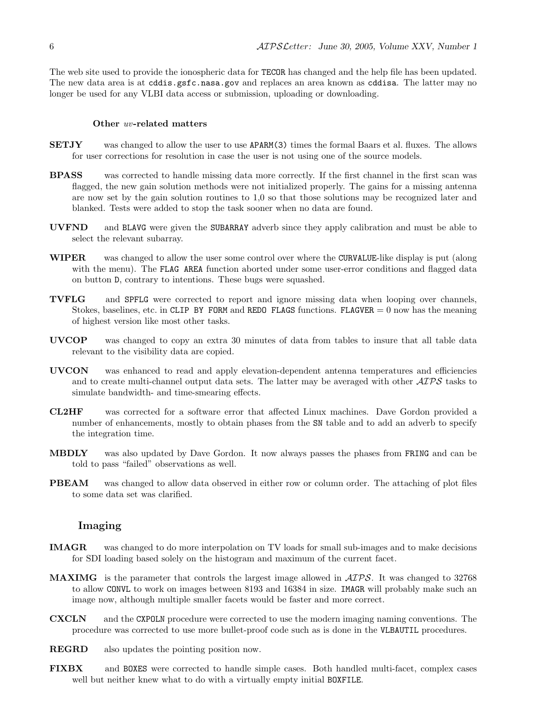The web site used to provide the ionospheric data for TECOR has changed and the help file has been updated. The new data area is at cddis.gsfc.nasa.gov and replaces an area known as cddisa. The latter may no longer be used for any VLBI data access or submission, uploading or downloading.

#### Other uv-related matters

- SETJY was changed to allow the user to use APARM(3) times the formal Baars et al. fluxes. The allows for user corrections for resolution in case the user is not using one of the source models.
- BPASS was corrected to handle missing data more correctly. If the first channel in the first scan was flagged, the new gain solution methods were not initialized properly. The gains for a missing antenna are now set by the gain solution routines to 1,0 so that those solutions may be recognized later and blanked. Tests were added to stop the task sooner when no data are found.
- UVFND and BLAVG were given the SUBARRAY adverb since they apply calibration and must be able to select the relevant subarray.
- WIPER was changed to allow the user some control over where the CURVALUE-like display is put (along with the menu). The FLAG AREA function aborted under some user-error conditions and flagged data on button D, contrary to intentions. These bugs were squashed.
- TVFLG and SPFLG were corrected to report and ignore missing data when looping over channels, Stokes, baselines, etc. in CLIP BY FORM and REDO FLAGS functions. FLAGVER  $= 0$  now has the meaning of highest version like most other tasks.
- UVCOP was changed to copy an extra 30 minutes of data from tables to insure that all table data relevant to the visibility data are copied.
- UVCON was enhanced to read and apply elevation-dependent antenna temperatures and efficiencies and to create multi-channel output data sets. The latter may be averaged with other  $\mathcal{AIPS}$  tasks to simulate bandwidth- and time-smearing effects.
- CL2HF was corrected for a software error that affected Linux machines. Dave Gordon provided a number of enhancements, mostly to obtain phases from the SN table and to add an adverb to specify the integration time.
- MBDLY was also updated by Dave Gordon. It now always passes the phases from FRING and can be told to pass "failed" observations as well.
- PBEAM was changed to allow data observed in either row or column order. The attaching of plot files to some data set was clarified.

#### Imaging

- IMAGR was changed to do more interpolation on TV loads for small sub-images and to make decisions for SDI loading based solely on the histogram and maximum of the current facet.
- **MAXIMG** is the parameter that controls the largest image allowed in  $\mathcal{AIPS}$ . It was changed to 32768 to allow CONVL to work on images between 8193 and 16384 in size. IMAGR will probably make such an image now, although multiple smaller facets would be faster and more correct.
- CXCLN and the CXPOLN procedure were corrected to use the modern imaging naming conventions. The procedure was corrected to use more bullet-proof code such as is done in the VLBAUTIL procedures.
- REGRD also updates the pointing position now.
- FIXBX and BOXES were corrected to handle simple cases. Both handled multi-facet, complex cases well but neither knew what to do with a virtually empty initial **BOXFILE**.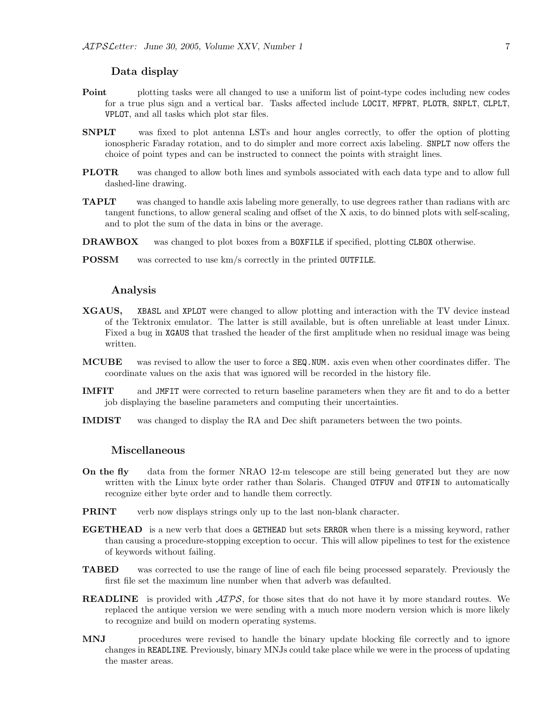#### Data display

- **Point** plotting tasks were all changed to use a uniform list of point-type codes including new codes for a true plus sign and a vertical bar. Tasks affected include LOCIT, MFPRT, PLOTR, SNPLT, CLPLT, VPLOT, and all tasks which plot star files.
- SNPLT was fixed to plot antenna LSTs and hour angles correctly, to offer the option of plotting ionospheric Faraday rotation, and to do simpler and more correct axis labeling. SNPLT now offers the choice of point types and can be instructed to connect the points with straight lines.
- PLOTR was changed to allow both lines and symbols associated with each data type and to allow full dashed-line drawing.
- TAPLT was changed to handle axis labeling more generally, to use degrees rather than radians with arc tangent functions, to allow general scaling and offset of the X axis, to do binned plots with self-scaling, and to plot the sum of the data in bins or the average.
- DRAWBOX was changed to plot boxes from a BOXFILE if specified, plotting CLBOX otherwise.
- POSSM was corrected to use km/s correctly in the printed OUTFILE.

#### Analysis

- XGAUS, XBASL and XPLOT were changed to allow plotting and interaction with the TV device instead of the Tektronix emulator. The latter is still available, but is often unreliable at least under Linux. Fixed a bug in XGAUS that trashed the header of the first amplitude when no residual image was being written.
- MCUBE was revised to allow the user to force a SEQ.NUM. axis even when other coordinates differ. The coordinate values on the axis that was ignored will be recorded in the history file.
- IMFIT and JMFIT were corrected to return baseline parameters when they are fit and to do a better job displaying the baseline parameters and computing their uncertainties.
- IMDIST was changed to display the RA and Dec shift parameters between the two points.

#### Miscellaneous

- On the fly data from the former NRAO 12-m telescope are still being generated but they are now written with the Linux byte order rather than Solaris. Changed OTFUV and OTFIN to automatically recognize either byte order and to handle them correctly.
- **PRINT** verb now displays strings only up to the last non-blank character.
- EGETHEAD is a new verb that does a GETHEAD but sets ERROR when there is a missing keyword, rather than causing a procedure-stopping exception to occur. This will allow pipelines to test for the existence of keywords without failing.
- TABED was corrected to use the range of line of each file being processed separately. Previously the first file set the maximum line number when that adverb was defaulted.
- **READLINE** is provided with  $\mathcal{AIPS}$ , for those sites that do not have it by more standard routes. We replaced the antique version we were sending with a much more modern version which is more likely to recognize and build on modern operating systems.
- MNJ procedures were revised to handle the binary update blocking file correctly and to ignore changes in READLINE. Previously, binary MNJs could take place while we were in the process of updating the master areas.